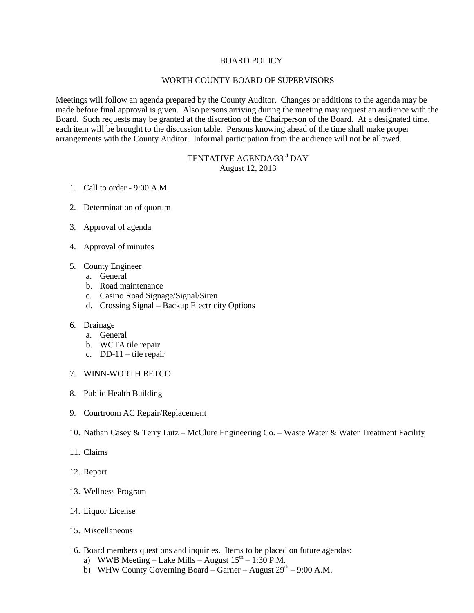## BOARD POLICY

## WORTH COUNTY BOARD OF SUPERVISORS

Meetings will follow an agenda prepared by the County Auditor. Changes or additions to the agenda may be made before final approval is given. Also persons arriving during the meeting may request an audience with the Board. Such requests may be granted at the discretion of the Chairperson of the Board. At a designated time, each item will be brought to the discussion table. Persons knowing ahead of the time shall make proper arrangements with the County Auditor. Informal participation from the audience will not be allowed.

## TENTATIVE AGENDA/33<sup>rd</sup> DAY August 12, 2013

- 1. Call to order 9:00 A.M.
- 2. Determination of quorum
- 3. Approval of agenda
- 4. Approval of minutes
- 5. County Engineer
	- a. General
	- b. Road maintenance
	- c. Casino Road Signage/Signal/Siren
	- d. Crossing Signal Backup Electricity Options

## 6. Drainage

- a. General
- b. WCTA tile repair
- c. DD-11 tile repair
- 7. WINN-WORTH BETCO
- 8. Public Health Building
- 9. Courtroom AC Repair/Replacement
- 10. Nathan Casey & Terry Lutz McClure Engineering Co. Waste Water & Water Treatment Facility
- 11. Claims
- 12. Report
- 13. Wellness Program
- 14. Liquor License
- 15. Miscellaneous
- 16. Board members questions and inquiries. Items to be placed on future agendas:
	- a) WWB Meeting Lake Mills August  $15<sup>th</sup> 1:30$  P.M.
	- b) WHW County Governing Board Garner August  $29<sup>th</sup> 9:00$  A.M.